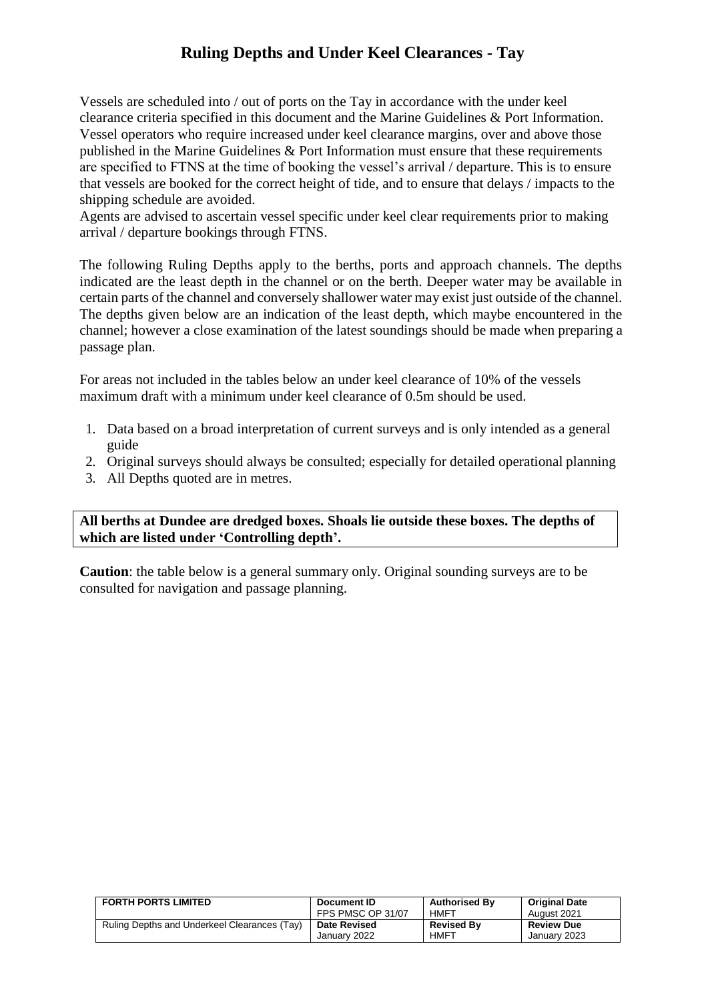## **Ruling Depths and Under Keel Clearances - Tay**

Vessels are scheduled into / out of ports on the Tay in accordance with the under keel clearance criteria specified in this document and the Marine Guidelines & Port Information. Vessel operators who require increased under keel clearance margins, over and above those published in the Marine Guidelines & Port Information must ensure that these requirements are specified to FTNS at the time of booking the vessel's arrival / departure. This is to ensure that vessels are booked for the correct height of tide, and to ensure that delays / impacts to the shipping schedule are avoided.

Agents are advised to ascertain vessel specific under keel clear requirements prior to making arrival / departure bookings through FTNS.

The following Ruling Depths apply to the berths, ports and approach channels. The depths indicated are the least depth in the channel or on the berth. Deeper water may be available in certain parts of the channel and conversely shallower water may exist just outside of the channel. The depths given below are an indication of the least depth, which maybe encountered in the channel; however a close examination of the latest soundings should be made when preparing a passage plan.

For areas not included in the tables below an under keel clearance of 10% of the vessels maximum draft with a minimum under keel clearance of 0.5m should be used.

- 1. Data based on a broad interpretation of current surveys and is only intended as a general guide
- 2. Original surveys should always be consulted; especially for detailed operational planning
- 3. All Depths quoted are in metres.

**All berths at Dundee are dredged boxes. Shoals lie outside these boxes. The depths of which are listed under 'Controlling depth'.**

**Caution**: the table below is a general summary only. Original sounding surveys are to be consulted for navigation and passage planning.

| <b>FORTH PORTS LIMITED</b>                   | Document ID         | <b>Authorised By</b> | <b>Original Date</b> |
|----------------------------------------------|---------------------|----------------------|----------------------|
|                                              | FPS PMSC OP 31/07   | HMFT                 | August 2021          |
| Ruling Depths and Underkeel Clearances (Tay) | <b>Date Revised</b> | <b>Revised By</b>    | <b>Review Due</b>    |
|                                              | January 2022        | <b>HMFT</b>          | January 2023         |